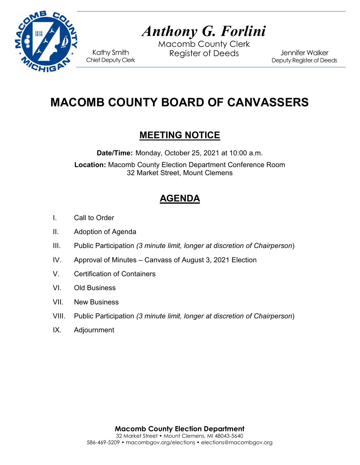

# *Anthony G. Forlini*

Macomb County Clerk Kathy Smith Register of Deeds<br>Chief Deputy Clerk

Jennifer Walker Deputy Register of Deeds

# **MACOMB COUNTY BOARD OF CANVASSERS**

## **MEETING NOTICE**

**Date/Time:** Monday, October 25, 2021 at 10:00 a.m.

**Location:** Macomb County Election Department Conference Room 32 Market Street, Mount Clemens

# **AGENDA**

- I. Call to Order
- II. Adoption of Agenda
- III. Public Participation *(3 minute limit, longer at discretion of Chairperson*)
- IV. Approval of Minutes Canvass of August 3, 2021 Election
- V. Certification of Containers
- VI. Old Business
- VII. New Business
- VIII. Public Participation *(3 minute limit, longer at discretion of Chairperson*)
- IX. Adjournment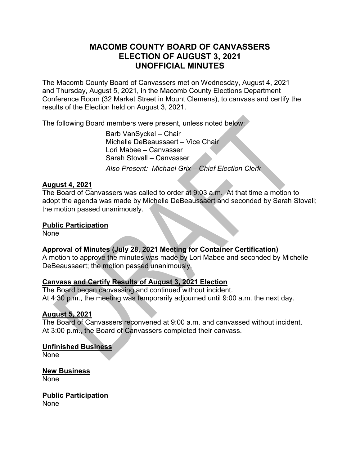#### **MACOMB COUNTY BOARD OF CANVASSERS ELECTION OF AUGUST 3, 2021 UNOFFICIAL MINUTES**

The Macomb County Board of Canvassers met on Wednesday, August 4, 2021 and Thursday, August 5, 2021, in the Macomb County Elections Department Conference Room (32 Market Street in Mount Clemens), to canvass and certify the results of the Election held on August 3, 2021.

The following Board members were present, unless noted below:

Barb VanSyckel – Chair Michelle DeBeaussaert – Vice Chair Lori Mabee – Canvasser Sarah Stovall – Canvasser *Also Present: Michael Grix – Chief Election Clerk*

#### **August 4, 2021**

The Board of Canvassers was called to order at 9:03 a.m. At that time a motion to adopt the agenda was made by Michelle DeBeaussaert and seconded by Sarah Stovall; the motion passed unanimously.

#### **Public Participation**

None

#### **Approval of Minutes (July 28, 2021 Meeting for Container Certification)**

A motion to approve the minutes was made by Lori Mabee and seconded by Michelle DeBeaussaert; the motion passed unanimously.

#### **Canvass and Certify Results of August 3, 2021 Election**

The Board began canvassing and continued without incident. At 4:30 p.m., the meeting was temporarily adjourned until 9:00 a.m. the next day.

#### **August 5, 2021**

The Board of Canvassers reconvened at 9:00 a.m. and canvassed without incident. At 3:00 p.m., the Board of Canvassers completed their canvass.

#### **Unfinished Business**

None

**New Business** None

#### **Public Participation**

None